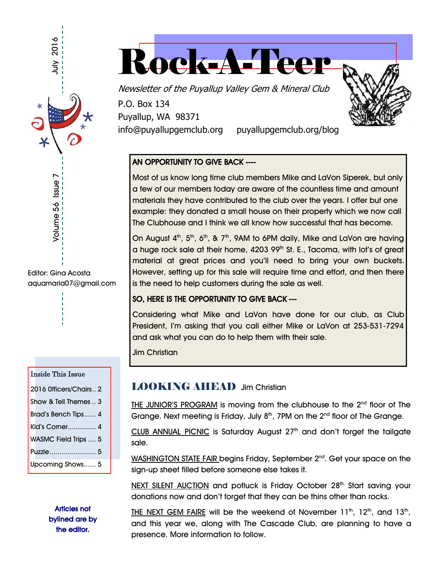

Editor: Gina Acosta aquamaria07@gmail.com

#### Inside This Issue

| 2016 Officers/Chairs 2 |
|------------------------|
| Show & Tell Themes  3  |
| Brad's Bench Tips 4    |
| Kid's Corner 4         |
| WASMC Field Trips  5   |
| Puzzle  5              |
| Upcoming Shows 5       |

Articles not bylined are by the editor.



Newsletter of the Puyallup Valley Gem & Mineral Club

P.O. Box 134 Puyallup, WA 98371

info@puyallupgemclub.org puyallupgemclub.org/blog

#### AN OPPORTUNITY TO GIVE BACK ----

Most of us know long time club members Mike and LaVon Siperek, but only a few of our members today are aware of the countless time and amount materials they have contributed to the club over the years. I offer but one example: they donated a small house on their property which we now call The Clubhouse and I think we all know how successful that has become.

On August  $4<sup>th</sup>$ ,  $5<sup>th</sup>$ ,  $6<sup>th</sup>$ , &  $7<sup>th</sup>$ , 9AM to 6PM daily, Mike and LaVon are having a huge rock sale at their home, 4203 99<sup>th</sup> St. E., Tacoma, with lot's of great material at great prices and you'll need to bring your own buckets. However, setting up for this sale will require time and effort, and then there is the need to help customers during the sale as well.

#### SO, HERE IS THE OPPORTUNITY TO GIVE BACK ---

Considering what Mike and LaVon have done for our club, as Club President, I'm asking that you call either Mike or LaVon at 253-531-7294 and ask what you can do to help them with their sale.

Jim Christian

## LOOKING AHEAD Jim Christian

THE JUNIOR'S PROGRAM is moving from the clubhouse to the  $2<sup>nd</sup>$  floor of The Grange. Next meeting is Friday, July  $8<sup>th</sup>$ , 7PM on the  $2<sup>nd</sup>$  floor of The Grange.

CLUB ANNUAL PICNIC is Saturday August  $27<sup>th</sup>$  and don't forget the tailgate sale.

WASHINGTON STATE FAIR begins Friday, September 2<sup>nd</sup>. Get your space on the sign-up sheet filled before someone else takes it.

NEXT SILENT AUCTION and potluck is Friday October 28th. Start saving your donations now and don't forget that they can be thins other than rocks.

THE NEXT GEM FAIRE will be the weekend of November 11<sup>th</sup>, 12<sup>th</sup>, and 13<sup>th</sup>, and this year we, along with The Cascade Club, are planning to have a presence. More information to follow.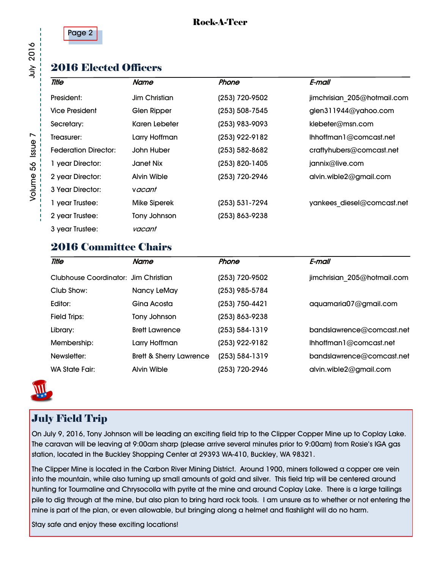

#### Rock-A-Teer

## 2016 Elected Officers

| <b>Title</b>                | Name                 | Phone          | E-mail                      |
|-----------------------------|----------------------|----------------|-----------------------------|
| President:                  | <b>Jim Christian</b> | (253) 720-9502 | jimchrisian 205@hotmail.com |
| <b>Vice President</b>       | Glen Ripper          | (253) 508-7545 | glen311944@yahoo.com        |
| Secretary:                  | Karen Lebeter        | (253) 983-9093 | klebeter@msn.com            |
| Treasurer:                  | Larry Hoffman        | (253) 922-9182 | Ihhoffman 1@comcast.net     |
| <b>Federation Director:</b> | John Huber           | (253) 582-8682 | craftyhubers@comcast.net    |
| 1 year Director:            | Janet Nix            | (253) 820-1405 | jannix@live.com             |
| 2 year Director:            | Alvin Wible          | (253) 720-2946 | alvin.wible2@gmail.com      |
| 3 Year Director:            | vacant               |                |                             |
| 1 year Trustee:             | <b>Mike Siperek</b>  | (253) 531-7294 | yankees diesel@comcast.net  |
| 2 year Trustee:             | Tony Johnson         | (253) 863-9238 |                             |
| 3 year Trustee:             | vacant               |                |                             |

## 2016 Committee Chairs

| <b>Title</b>                         | Name                               | Phone            | E-mail                      |
|--------------------------------------|------------------------------------|------------------|-----------------------------|
| Clubhouse Coordinator: Jim Christian |                                    | (253) 720-9502   | jimchrisian 205@hotmail.com |
| Club Show:                           | Nancy LeMay                        | (253) 985-5784   |                             |
| Editor:                              | Gina Acosta                        | (253) 750-4421   | aquamaria07@gmail.com       |
| <b>Field Trips:</b>                  | Tony Johnson                       | (253) 863-9238   |                             |
| Library:                             | <b>Brett Lawrence</b>              | (253) 584-1319   | bandslawrence@comcast.net   |
| Membership:                          | Larry Hoffman                      | (253) 922-9182   | Ihhoffman 1@comcast.net     |
| Newsletter:                          | <b>Brett &amp; Sherry Lawrence</b> | $(253) 584-1319$ | bandslawrence@comcast.net   |
| <b>WA State Fair:</b>                | <b>Alvin Wible</b>                 | (253) 720-2946   | alvin.wible2@gmail.com      |



## July Field Trip

On July 9, 2016, Tony Johnson will be leading an exciting field trip to the Clipper Copper Mine up to Coplay Lake. The caravan will be leaving at 9:00am sharp (please arrive several minutes prior to 9:00am) from Rosie's IGA gas station, located in the Buckley Shopping Center at 29393 WA-410, Buckley, WA 98321.

The Clipper Mine is located in the Carbon River Mining District. Around 1900, miners followed a copper ore vein into the mountain, while also turning up small amounts of gold and silver. This field trip will be centered around hunting for Tourmaline and Chrysocolla with pyrite at the mine and around Coplay Lake. There is a large tailings pile to dig through at the mine, but also plan to bring hard rock tools. I am unsure as to whether or not entering the mine is part of the plan, or even allowable, but bringing along a helmet and flashlight will do no harm.

Stay safe and enjoy these exciting locations!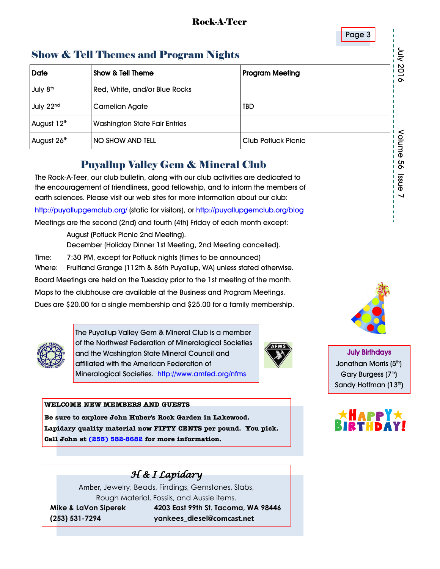

enssi 99

## Show & Tell Themes and Program Nights

| <b>Show &amp; Tell Themes and Program Nights</b> |                                                                                                                                                                                                                                                           |                            |        |  |  |  |  |  |
|--------------------------------------------------|-----------------------------------------------------------------------------------------------------------------------------------------------------------------------------------------------------------------------------------------------------------|----------------------------|--------|--|--|--|--|--|
| Date                                             | <b>Show &amp; Tell Theme</b><br><b>Program Meeting</b>                                                                                                                                                                                                    |                            |        |  |  |  |  |  |
| July 8 <sup>th</sup>                             | Red, White, and/or Blue Rocks                                                                                                                                                                                                                             |                            | 2016   |  |  |  |  |  |
| July 22 <sup>nd</sup>                            | <b>Carnelian Agate</b>                                                                                                                                                                                                                                    | <b>TBD</b>                 |        |  |  |  |  |  |
| August 12th                                      | Washington State Fair Entries                                                                                                                                                                                                                             |                            |        |  |  |  |  |  |
| August 26th                                      | NO SHOW AND TELL                                                                                                                                                                                                                                          | <b>Club Potluck Picnic</b> | Volume |  |  |  |  |  |
|                                                  | <b>Puyallup Valley Gem &amp; Mineral Club</b>                                                                                                                                                                                                             |                            | oo     |  |  |  |  |  |
|                                                  | The Rock-A-Teer, our club bulletin, along with our club activities are dedicated to<br>the encouragement of friendliness, good fellowship, and to inform the members of<br>ogth sciences. Please visit our wob sites for more information about our oluby |                            | enss   |  |  |  |  |  |

## Puyallup Valley Gem & Mineral Club

The Rock-A-Teer, our club bulletin, along with our club activities are dedicated to the encouragement of friendliness, good fellowship, and to inform the members of earth sciences. Please visit our web sites for more information about our club:

http://puyallupgemclub.org/ (static for visitors), or http://puyallupgemclub.org/blog

Meetings are the second (2nd) and fourth (4th) Friday of each month except:

 August (Potluck Picnic 2nd Meeting). December (Holiday Dinner 1st Meeting, 2nd Meeting cancelled). Time: 7:30 PM, except for Potluck nights (times to be announced) Where: Fruitland Grange (112th & 86th Puyallup, WA) unless stated otherwise. Board Meetings are held on the Tuesday prior to the 1st meeting of the month. Maps to the clubhouse are available at the Business and Program Meetings.

Dues are \$20.00 for a single membership and \$25.00 for a family membership.



The Puyallup Valley Gem & Mineral Club is a member of the Northwest Federation of Mineralogical Societies and the Washington State Mineral Council and affiliated with the American Federation of Mineralogical Societies. http://www.amfed.org/nfms



#### **WELCOME NEW MEMBERS AND GUESTS**

**Be sure to explore John Huber's Rock Garden in Lakewood. Lapidary quality material now FIFTY CENTS per pound. You pick. Call John at [\(253\) 582-8682](tel:253-582-8682) for more information.**



Amber, Jewelry, Beads, Findings, Gemstones, Slabs, Rough Material, Fossils, and Aussie items.

 **Mike & LaVon Siperek 4203 East 99th St. Tacoma, WA 98446 (253) 531-7294 yankees\_diesel@comcast.net**



July Birthdays Jonathan Morris (5<sup>th</sup>) Gary Burgess (7th) Sandy Hoffman (13<sup>th</sup>)

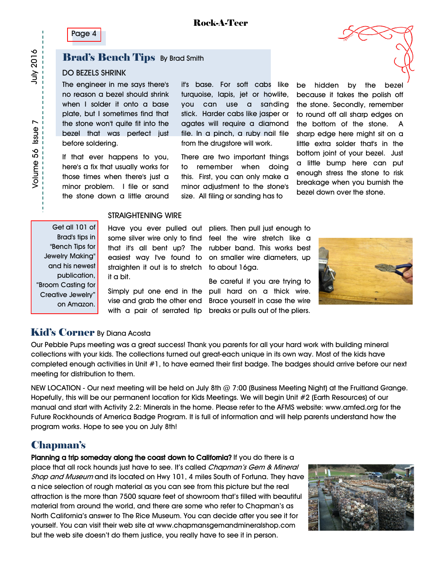Page 4

## **Brad's Bench Tips** By Brad Smith

#### DO BEZELS SHRINK

The engineer in me says there's no reason a bezel should shrink when I solder it onto a base plate, but I sometimes find that the stone won't quite fit into the bezel that was perfect just before soldering.

If that ever happens to you, here's a fix that usually works for those times when there's just a minor problem. I file or sand the stone down a little around

it's base. For soft cabs like turquoise, lapis, jet or howlite, you can use a sanding stick. Harder cabs like jasper or agates will require a diamond file. In a pinch, a ruby nail file from the drugstore will work.

There are two important things to remember when doing this. First, you can only make a minor adjustment to the stone's size. All filing or sanding has to

be hidden by the bezel because it takes the polish off the stone. Secondly, remember to round off all sharp edges on the bottom of the stone. A sharp edge here might sit on a little extra solder that's in the bottom joint of your bezel. Just a little bump here can put enough stress the stone to risk breakage when you burnish the bezel down over the stone.

#### STRAIGHTENING WIRE

Get all 101 of Brad's tips in "Bench Tips for Jewelry Making" and his newest publication, "Broom Casting for Creative Jewelry" on Amazon.

straighten it out is to stretch to about 16ga. it a bit.

Have you ever pulled out pliers. Then pull just enough to some silver wire only to find feel the wire stretch like a that it's all bent up? The rubber band. This works best easiest way I've found to on smaller wire diameters, up

Simply put one end in the pull hard on a thick wire. vise and grab the other end Brace yourself in case the wire with a pair of serrated tip breaks or pulls out of the pliers. Be careful if you are trying to



#### Kid's Corner By Diana Acosta

Our Pebble Pups meeting was a great success! Thank you parents for all your hard work with building mineral collections with your kids. The collections turned out great-each unique in its own way. Most of the kids have completed enough activities in Unit #1, to have earned their first badge. The badges should arrive before our next meeting for distribution to them.

NEW LOCATION - Our next meeting will be held on July 8th @ 7:00 (Business Meeting Night) at the Fruitland Grange. Hopefully, this will be our permanent location for Kids Meetings. We will begin Unit #2 (Earth Resources) of our manual and start with Activity 2.2: Minerals in the home. Please refer to the AFMS website: www.amfed.org for the Future Rockhounds of America Badge Program. It is full of information and will help parents understand how the program works. Hope to see you on July 8th!

## Chapman's

Planning a trip someday along the coast down to California? If you do there is a place that all rock hounds just have to see. It's called Chapman's Gem & Mineral Shop and Museum and its located on Hwy 101, 4 miles South of Fortuna. They have a nice selection of rough material as you can see from this picture but the real attraction is the more than 7500 square feet of showroom that's filled with beautiful material from around the world, and there are some who refer to Chapman's as North California's answer to The Rice Museum. You can decide after you see it for yourself. You can visit their web site at www.chapmansgemandmineralshop.com but the web site doesn't do them justice, you really have to see it in person.

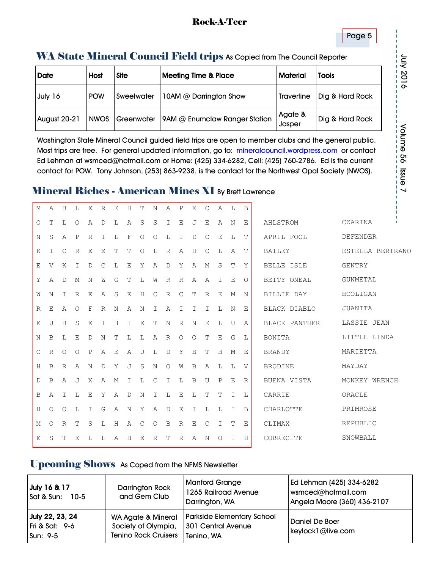#### Rock-A-Teer

#### Page 5

## WA State Mineral Council Field trips As Copied from The Council Reporter

| <b>Date</b>         | Host        | <b>Site</b>       | Meeting Time & Place          | <b>Material</b>   | <b>Tools</b>    |  |
|---------------------|-------------|-------------------|-------------------------------|-------------------|-----------------|--|
| July 16             | <b>POW</b>  | <b>Sweetwater</b> | 10AM @ Darrington Show        | <b>Travertine</b> | Dig & Hard Rock |  |
| <b>August 20-21</b> | <b>NWOS</b> | Greenwater        | 9AM @ Enumclaw Ranger Station | Agate &<br>Jasper | Dig & Hard Rock |  |

Washington State Mineral Council guided field trips are open to member clubs and the general public. Most trips are free. For general updated information, go to: mineralcouncil.wordpress.com or contact Ed Lehman at wsmced@hotmail.com or Home: (425) 334-6282, Cell: (425) 760-2786. Ed is the current contact for POW. Tony Johnson, (253) 863-9238, is the contact for the Northwest Opal Society (NWOS).

## Mineral Riches - American Mines XI By Brett Lawrence

| М            | Α            | B            | L              | E             | R            | Е              | Η | Т       | N            | A            | P             | K       | С            | A                  | L | B            |                      |                  |
|--------------|--------------|--------------|----------------|---------------|--------------|----------------|---|---------|--------------|--------------|---------------|---------|--------------|--------------------|---|--------------|----------------------|------------------|
| O            | Т            | L            | $\circ$        | Α             | D            | L              | Α | S       | S            | I            | Ε             | J       | Ε            | Α                  | N | Ε            | AHLSTROM             | CZARINA          |
| N            | S            | Α            | $\mathbf{P}$   | $\mathbb{R}$  | I            | L              | F | $\circ$ | $\circ$      | L            | I             | D       | C            | Ε                  | L | Т            | APRIL FOOL           | <b>DEFENDER</b>  |
| K            | I            | C            | R              | Ε             | Ε            | Т              | Т | 0       | L            | R            | Α             | Н       | С            | L                  | Α | Т            | BAILEY               | ESTELLA BERTRANO |
| Е            | V            | K            | T              | D             | C            | L              | Ε | Y       | Α            | $\mathbb D$  | Υ             | Α       | М            | S                  | T | Y            | <b>BELLE ISLE</b>    | GENTRY           |
| Υ            | Α            | D            | М              | N             | Ζ            | G              | т | L       | W            | R            | $\mathbb{R}$  | Α       | A            | T                  | Е | $\Omega$     | BETTY ONEAL          | <b>GUNMETAL</b>  |
| W            | Ν            | T            | $\mathbb{R}$   | $\mathbf E$   | Α            | S              | Ε | H       | $\mathsf{C}$ | $\mathbb{R}$ | $\mathcal{C}$ | T       | $\mathbb{R}$ | $\mathbf{E}% _{0}$ | M | N            | <b>BILLIE DAY</b>    | HOOLIGAN         |
| R            | Е            | Α            | $\circ$        | F             | R            | N              | Α | N       | I            | Α            | I             | I.      | T            | L                  | N | Е            | BLACK DIABLO         | JUANITA          |
| Е            | U            | B            | S              | Ε             | I            | Η              | Ι | Ε       | т            | Ν            | $\mathbb{R}$  | Ν       | $\mathbf E$  | L                  | U | Α            | <b>BLACK PANTHER</b> | LASSIE JEAN      |
| N            | B            | Т.           | E              | $\mathcal{D}$ | N            | Т              | L | L       | Α            | $\mathbb{R}$ | $\circ$       | $\circ$ | T            | Ε                  | G | L            | BONITA               | LITTLE LINDA     |
| $\mathsf{C}$ | $\mathbb{R}$ | $\circ$      | $\circ$        | $\mathbf{P}$  | Α            | Ε              | Α | U       | L            | $\mathbb D$  | Υ             | B       | Т            | B                  | M | Е            | <b>BRANDY</b>        | MARIETTA         |
| H            | B            | $\mathbb{R}$ | Α              | N             | $\mathbb{D}$ | Υ              | J | S       | N            | $\circ$      | W             | B       | Α            | L                  | L | $\mathbf{V}$ | <b>BRODINE</b>       | MAYDAY           |
| D            | B            | A            | $\overline{J}$ | Χ             | A            | М              | Ι | L       | С            | Ι            | L             | B       | U            | P                  | Е | $\mathbb{R}$ | BUENA VISTA          | MONKEY WRENCH    |
| B            | Α            | Τ            | L              | E             | Y            | $\overline{A}$ | D | N       | T            | L            | Ε             | L       | Т            | Т                  | I | L            | CARRIE               | ORACLE           |
| H            | Ο            | O            | L              | I             | G            | Α              | N | Υ       | Α            | D            | E             | I       | L            | L                  | Ι | B            | CHARLOTTE            | PRIMROSE         |
| М            | $\Omega$     | $\mathbb{R}$ | T              | S             | L            | H              | Α | C       | $\circ$      | B            | $\mathbb{R}$  | Ε       | C            | I                  | T | E            | CLIMAX               | REPUBLIC         |
| E            | S            | т            | Е              | L             | L            | A              | B | Е       | R            | т            | $\mathbb{R}$  | A       | N            | O                  | Ι | D            | COBRECITE            | SNOWBALL         |

## Upcoming Shows As Coped from the NFMS Newsletter

| July 16 & 17<br>Sat & Sun:<br>$10-5$                     | Darrington Rock<br>and Gem Club                                                     | <b>Manford Grange</b><br>1265 Railroad Avenue<br>Darrington, WA       | Ed Lehman (425) 334-6282<br>wsmced@hotmail.com<br>Angela Moore (360) 436-2107 |
|----------------------------------------------------------|-------------------------------------------------------------------------------------|-----------------------------------------------------------------------|-------------------------------------------------------------------------------|
| July 22, 23, 24<br><b>Fri &amp; Sat: 9-6</b><br>Sun: 9-5 | <b>WA Agate &amp; Mineral</b><br>Society of Olympia,<br><b>Tenino Rock Cruisers</b> | <b>Parkside Elementary School</b><br>301 Central Avenue<br>Tenino, WA | Daniel De Boer<br>keylock1@live.com                                           |

July 2016

Volume 56 Issue 7 Volume 56 Issue 7